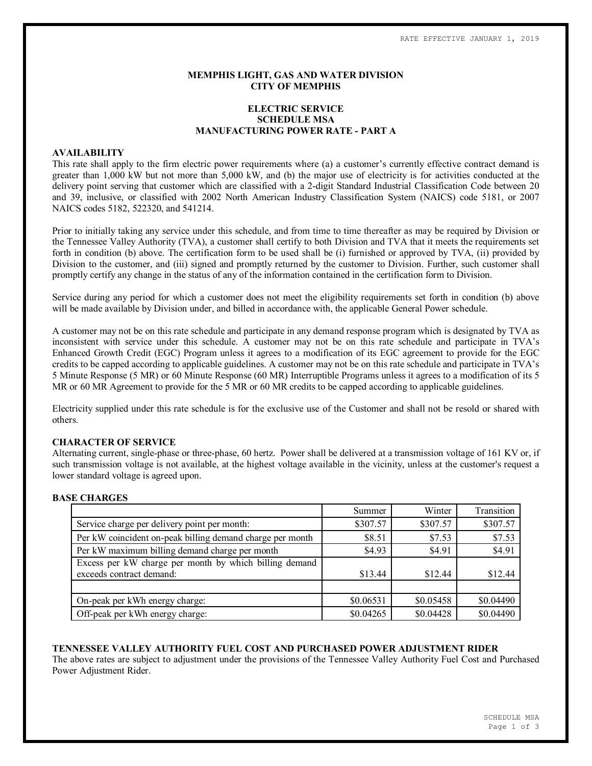### **MEMPHIS LIGHT, GAS AND WATER DIVISION CITY OF MEMPHIS**

# **ELECTRIC SERVICE SCHEDULE MSA MANUFACTURING POWER RATE - PART A**

#### **AVAILABILITY**

This rate shall apply to the firm electric power requirements where (a) a customer's currently effective contract demand is greater than 1,000 kW but not more than 5,000 kW, and (b) the major use of electricity is for activities conducted at the delivery point serving that customer which are classified with a 2-digit Standard Industrial Classification Code between 20 and 39, inclusive, or classified with 2002 North American Industry Classification System (NAICS) code 5181, or 2007 NAICS codes 5182, 522320, and 541214.

Prior to initially taking any service under this schedule, and from time to time thereafter as may be required by Division or the Tennessee Valley Authority (TVA), a customer shall certify to both Division and TVA that it meets the requirements set forth in condition (b) above. The certification form to be used shall be (i) furnished or approved by TVA, (ii) provided by Division to the customer, and (iii) signed and promptly returned by the customer to Division. Further, such customer shall promptly certify any change in the status of any of the information contained in the certification form to Division.

Service during any period for which a customer does not meet the eligibility requirements set forth in condition (b) above will be made available by Division under, and billed in accordance with, the applicable General Power schedule.

A customer may not be on this rate schedule and participate in any demand response program which is designated by TVA as inconsistent with service under this schedule. A customer may not be on this rate schedule and participate in TVA's Enhanced Growth Credit (EGC) Program unless it agrees to a modification of its EGC agreement to provide for the EGC credits to be capped according to applicable guidelines. A customer may not be on this rate schedule and participate in TVA's 5 Minute Response (5 MR) or 60 Minute Response (60 MR) Interruptible Programs unless it agrees to a modification of its 5 MR or 60 MR Agreement to provide for the 5 MR or 60 MR credits to be capped according to applicable guidelines.

Electricity supplied under this rate schedule is for the exclusive use of the Customer and shall not be resold or shared with others.

### **CHARACTER OF SERVICE**

Alternating current, single-phase or three-phase, 60 hertz. Power shall be delivered at a transmission voltage of 161 KV or, if such transmission voltage is not available, at the highest voltage available in the vicinity, unless at the customer's request a lower standard voltage is agreed upon.

### **BASE CHARGES**

|                                                           | Summer    | Winter    | Transition |
|-----------------------------------------------------------|-----------|-----------|------------|
| Service charge per delivery point per month:              | \$307.57  | \$307.57  | \$307.57   |
| Per kW coincident on-peak billing demand charge per month | \$8.51    | \$7.53    | \$7.53     |
| Per kW maximum billing demand charge per month            | \$4.93    | \$4.91    | \$4.91     |
| Excess per kW charge per month by which billing demand    |           |           |            |
| exceeds contract demand:                                  | \$13.44   | \$12.44   | \$12.44    |
|                                                           |           |           |            |
| On-peak per kWh energy charge:                            | \$0.06531 | \$0.05458 | \$0.04490  |
| Off-peak per kWh energy charge:                           | \$0.04265 | \$0.04428 | \$0.04490  |

### **TENNESSEE VALLEY AUTHORITY FUEL COST AND PURCHASED POWER ADJUSTMENT RIDER**

The above rates are subject to adjustment under the provisions of the Tennessee Valley Authority Fuel Cost and Purchased Power Adjustment Rider.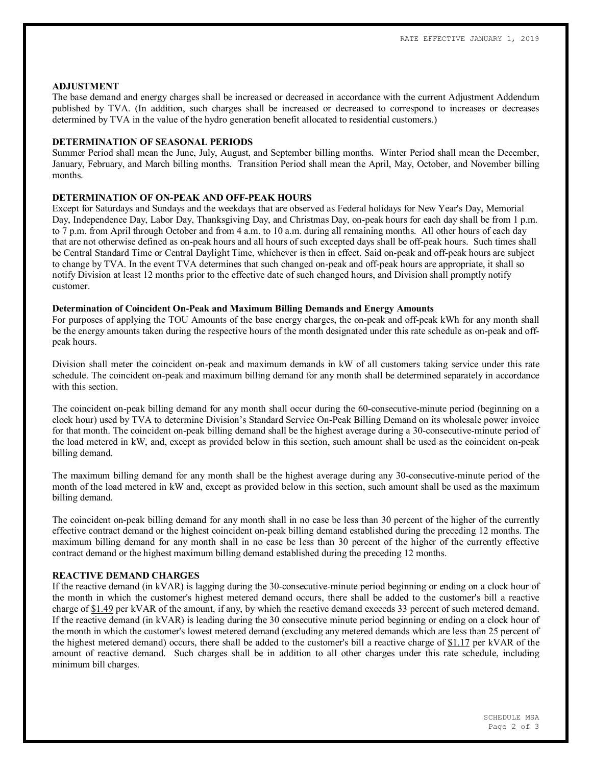#### **ADJUSTMENT**

The base demand and energy charges shall be increased or decreased in accordance with the current Adjustment Addendum published by TVA. (In addition, such charges shall be increased or decreased to correspond to increases or decreases determined by TVA in the value of the hydro generation benefit allocated to residential customers.)

### **DETERMINATION OF SEASONAL PERIODS**

Summer Period shall mean the June, July, August, and September billing months. Winter Period shall mean the December, January, February, and March billing months. Transition Period shall mean the April, May, October, and November billing months.

# **DETERMINATION OF ON-PEAK AND OFF-PEAK HOURS**

Except for Saturdays and Sundays and the weekdays that are observed as Federal holidays for New Year's Day, Memorial Day, Independence Day, Labor Day, Thanksgiving Day, and Christmas Day, on-peak hours for each day shall be from 1 p.m. to 7 p.m. from April through October and from 4 a.m. to 10 a.m. during all remaining months. All other hours of each day that are not otherwise defined as on-peak hours and all hours of such excepted days shall be off-peak hours. Such times shall be Central Standard Time or Central Daylight Time, whichever is then in effect. Said on-peak and off-peak hours are subject to change by TVA. In the event TVA determines that such changed on-peak and off-peak hours are appropriate, it shall so notify Division at least 12 months prior to the effective date of such changed hours, and Division shall promptly notify customer.

### **Determination of Coincident On-Peak and Maximum Billing Demands and Energy Amounts**

For purposes of applying the TOU Amounts of the base energy charges, the on-peak and off-peak kWh for any month shall be the energy amounts taken during the respective hours of the month designated under this rate schedule as on-peak and offpeak hours.

Division shall meter the coincident on-peak and maximum demands in kW of all customers taking service under this rate schedule. The coincident on-peak and maximum billing demand for any month shall be determined separately in accordance with this section

The coincident on-peak billing demand for any month shall occur during the 60-consecutive-minute period (beginning on a clock hour) used by TVA to determine Division's Standard Service On-Peak Billing Demand on its wholesale power invoice for that month. The coincident on-peak billing demand shall be the highest average during a 30-consecutive-minute period of the load metered in kW, and, except as provided below in this section, such amount shall be used as the coincident on-peak billing demand.

The maximum billing demand for any month shall be the highest average during any 30-consecutive-minute period of the month of the load metered in kW and, except as provided below in this section, such amount shall be used as the maximum billing demand.

The coincident on-peak billing demand for any month shall in no case be less than 30 percent of the higher of the currently effective contract demand or the highest coincident on-peak billing demand established during the preceding 12 months. The maximum billing demand for any month shall in no case be less than 30 percent of the higher of the currently effective contract demand or the highest maximum billing demand established during the preceding 12 months.

## **REACTIVE DEMAND CHARGES**

If the reactive demand (in kVAR) is lagging during the 30-consecutive-minute period beginning or ending on a clock hour of the month in which the customer's highest metered demand occurs, there shall be added to the customer's bill a reactive charge of \$1.49 per kVAR of the amount, if any, by which the reactive demand exceeds 33 percent of such metered demand. If the reactive demand (in kVAR) is leading during the 30 consecutive minute period beginning or ending on a clock hour of the month in which the customer's lowest metered demand (excluding any metered demands which are less than 25 percent of the highest metered demand) occurs, there shall be added to the customer's bill a reactive charge of \$1.17 per kVAR of the amount of reactive demand. Such charges shall be in addition to all other charges under this rate schedule, including minimum bill charges.